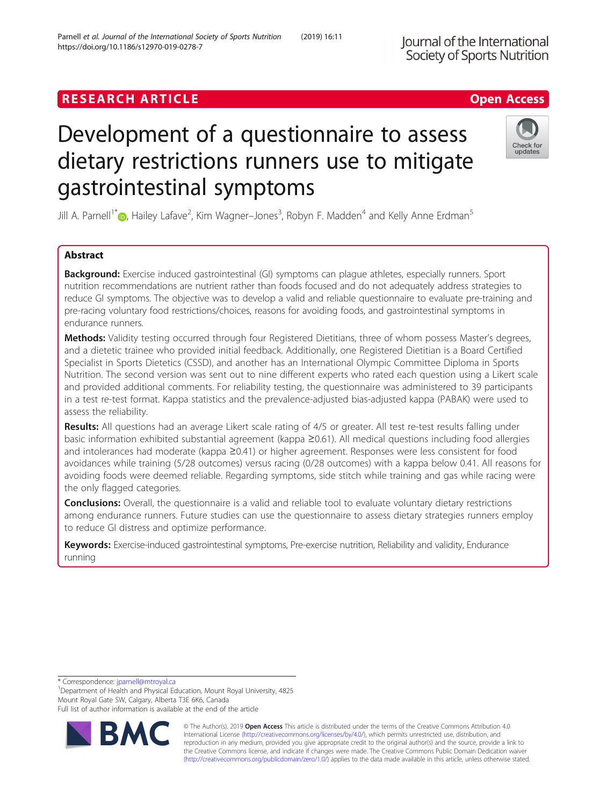## **RESEARCH ARTICLE Example 2018 12:30 The Contract of Contract ACCESS**

# Development of a questionnaire to assess dietary restrictions runners use to mitigate gastrointestinal symptoms

Jill A. Parnell<sup>1\*</sup>D, Hailey Lafave<sup>2</sup>, Kim Wagner–Jones<sup>3</sup>, Robyn F. Madden<sup>4</sup> and Kelly Anne Erdman<sup>5</sup>

## Abstract

Background: Exercise induced gastrointestinal (GI) symptoms can plague athletes, especially runners. Sport nutrition recommendations are nutrient rather than foods focused and do not adequately address strategies to reduce GI symptoms. The objective was to develop a valid and reliable questionnaire to evaluate pre-training and pre-racing voluntary food restrictions/choices, reasons for avoiding foods, and gastrointestinal symptoms in endurance runners.

Methods: Validity testing occurred through four Registered Dietitians, three of whom possess Master's degrees, and a dietetic trainee who provided initial feedback. Additionally, one Registered Dietitian is a Board Certified Specialist in Sports Dietetics (CSSD), and another has an International Olympic Committee Diploma in Sports Nutrition. The second version was sent out to nine different experts who rated each question using a Likert scale and provided additional comments. For reliability testing, the questionnaire was administered to 39 participants in a test re-test format. Kappa statistics and the prevalence-adjusted bias-adjusted kappa (PABAK) were used to assess the reliability.

Results: All questions had an average Likert scale rating of 4/5 or greater. All test re-test results falling under basic information exhibited substantial agreement (kappa ≥0.61). All medical questions including food allergies and intolerances had moderate (kappa ≥0.41) or higher agreement. Responses were less consistent for food avoidances while training (5/28 outcomes) versus racing (0/28 outcomes) with a kappa below 0.41. All reasons for avoiding foods were deemed reliable. Regarding symptoms, side stitch while training and gas while racing were the only flagged categories.

**Conclusions:** Overall, the questionnaire is a valid and reliable tool to evaluate voluntary dietary restrictions among endurance runners. Future studies can use the questionnaire to assess dietary strategies runners employ to reduce GI distress and optimize performance.

Keywords: Exercise-induced gastrointestinal symptoms, Pre-exercise nutrition, Reliability and validity, Endurance running

\* Correspondence: [jparnell@mtroyal.ca](mailto:jparnell@mtroyal.ca) <sup>1</sup>

Department of Health and Physical Education, Mount Royal University, 4825 Mount Royal Gate SW, Calgary, Alberta T3E 6K6, Canada

Full list of author information is available at the end of the article

© The Author(s). 2019 **Open Access** This article is distributed under the terms of the Creative Commons Attribution 4.0 International License [\(http://creativecommons.org/licenses/by/4.0/](http://creativecommons.org/licenses/by/4.0/)), which permits unrestricted use, distribution, and reproduction in any medium, provided you give appropriate credit to the original author(s) and the source, provide a link to the Creative Commons license, and indicate if changes were made. The Creative Commons Public Domain Dedication waiver [\(http://creativecommons.org/publicdomain/zero/1.0/](http://creativecommons.org/publicdomain/zero/1.0/)) applies to the data made available in this article, unless otherwise stated.



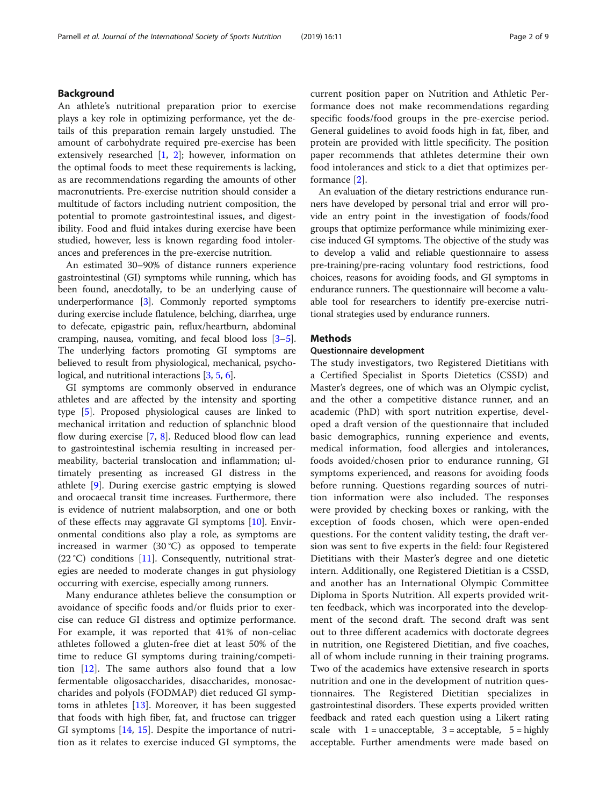## Background

An athlete's nutritional preparation prior to exercise plays a key role in optimizing performance, yet the details of this preparation remain largely unstudied. The amount of carbohydrate required pre-exercise has been extensively researched [\[1,](#page-8-0) [2](#page-8-0)]; however, information on the optimal foods to meet these requirements is lacking, as are recommendations regarding the amounts of other macronutrients. Pre-exercise nutrition should consider a multitude of factors including nutrient composition, the potential to promote gastrointestinal issues, and digestibility. Food and fluid intakes during exercise have been studied, however, less is known regarding food intolerances and preferences in the pre-exercise nutrition.

An estimated 30–90% of distance runners experience gastrointestinal (GI) symptoms while running, which has been found, anecdotally, to be an underlying cause of underperformance [[3](#page-8-0)]. Commonly reported symptoms during exercise include flatulence, belching, diarrhea, urge to defecate, epigastric pain, reflux/heartburn, abdominal cramping, nausea, vomiting, and fecal blood loss [[3](#page-8-0)–[5](#page-8-0)]. The underlying factors promoting GI symptoms are believed to result from physiological, mechanical, psycho-logical, and nutritional interactions [\[3,](#page-8-0) [5,](#page-8-0) [6](#page-8-0)].

GI symptoms are commonly observed in endurance athletes and are affected by the intensity and sporting type [[5\]](#page-8-0). Proposed physiological causes are linked to mechanical irritation and reduction of splanchnic blood flow during exercise [[7,](#page-8-0) [8](#page-8-0)]. Reduced blood flow can lead to gastrointestinal ischemia resulting in increased permeability, bacterial translocation and inflammation; ultimately presenting as increased GI distress in the athlete [[9\]](#page-8-0). During exercise gastric emptying is slowed and orocaecal transit time increases. Furthermore, there is evidence of nutrient malabsorption, and one or both of these effects may aggravate GI symptoms [[10\]](#page-8-0). Environmental conditions also play a role, as symptoms are increased in warmer (30 °C) as opposed to temperate (22 °C) conditions [\[11\]](#page-8-0). Consequently, nutritional strategies are needed to moderate changes in gut physiology occurring with exercise, especially among runners.

Many endurance athletes believe the consumption or avoidance of specific foods and/or fluids prior to exercise can reduce GI distress and optimize performance. For example, it was reported that 41% of non-celiac athletes followed a gluten-free diet at least 50% of the time to reduce GI symptoms during training/competition [\[12\]](#page-8-0). The same authors also found that a low fermentable oligosaccharides, disaccharides, monosaccharides and polyols (FODMAP) diet reduced GI symptoms in athletes [[13\]](#page-8-0). Moreover, it has been suggested that foods with high fiber, fat, and fructose can trigger GI symptoms [[14,](#page-8-0) [15\]](#page-8-0). Despite the importance of nutrition as it relates to exercise induced GI symptoms, the current position paper on Nutrition and Athletic Performance does not make recommendations regarding specific foods/food groups in the pre-exercise period. General guidelines to avoid foods high in fat, fiber, and protein are provided with little specificity. The position paper recommends that athletes determine their own food intolerances and stick to a diet that optimizes performance [[2](#page-8-0)].

An evaluation of the dietary restrictions endurance runners have developed by personal trial and error will provide an entry point in the investigation of foods/food groups that optimize performance while minimizing exercise induced GI symptoms. The objective of the study was to develop a valid and reliable questionnaire to assess pre-training/pre-racing voluntary food restrictions, food choices, reasons for avoiding foods, and GI symptoms in endurance runners. The questionnaire will become a valuable tool for researchers to identify pre-exercise nutritional strategies used by endurance runners.

## Methods

#### Questionnaire development

The study investigators, two Registered Dietitians with a Certified Specialist in Sports Dietetics (CSSD) and Master's degrees, one of which was an Olympic cyclist, and the other a competitive distance runner, and an academic (PhD) with sport nutrition expertise, developed a draft version of the questionnaire that included basic demographics, running experience and events, medical information, food allergies and intolerances, foods avoided/chosen prior to endurance running, GI symptoms experienced, and reasons for avoiding foods before running. Questions regarding sources of nutrition information were also included. The responses were provided by checking boxes or ranking, with the exception of foods chosen, which were open-ended questions. For the content validity testing, the draft version was sent to five experts in the field: four Registered Dietitians with their Master's degree and one dietetic intern. Additionally, one Registered Dietitian is a CSSD, and another has an International Olympic Committee Diploma in Sports Nutrition. All experts provided written feedback, which was incorporated into the development of the second draft. The second draft was sent out to three different academics with doctorate degrees in nutrition, one Registered Dietitian, and five coaches, all of whom include running in their training programs. Two of the academics have extensive research in sports nutrition and one in the development of nutrition questionnaires. The Registered Dietitian specializes in gastrointestinal disorders. These experts provided written feedback and rated each question using a Likert rating scale with  $1 =$  unacceptable,  $3 =$  acceptable,  $5 =$  highly acceptable. Further amendments were made based on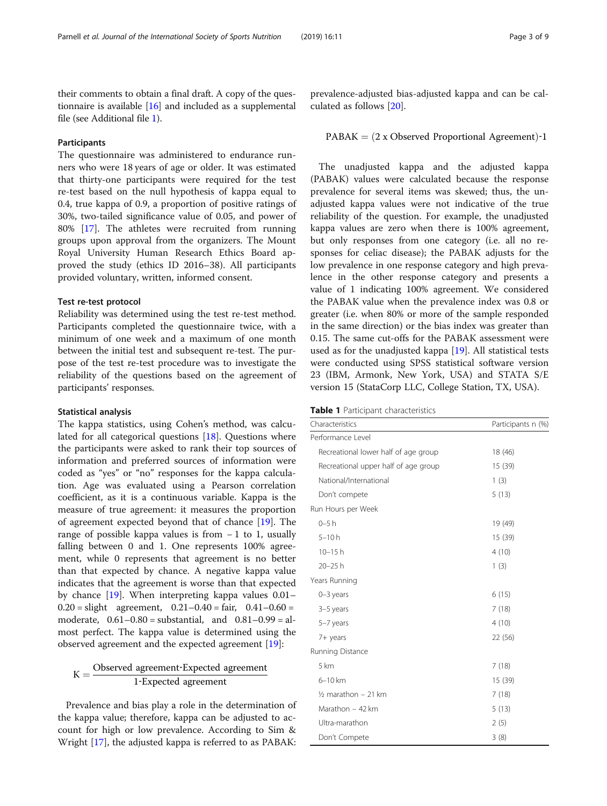## <span id="page-2-0"></span>Participants

The questionnaire was administered to endurance runners who were 18 years of age or older. It was estimated that thirty-one participants were required for the test re-test based on the null hypothesis of kappa equal to 0.4, true kappa of 0.9, a proportion of positive ratings of 30%, two-tailed significance value of 0.05, and power of 80% [[17](#page-8-0)]. The athletes were recruited from running groups upon approval from the organizers. The Mount Royal University Human Research Ethics Board approved the study (ethics ID 2016–38). All participants provided voluntary, written, informed consent.

## Test re-test protocol

Reliability was determined using the test re-test method. Participants completed the questionnaire twice, with a minimum of one week and a maximum of one month between the initial test and subsequent re-test. The purpose of the test re-test procedure was to investigate the reliability of the questions based on the agreement of participants' responses.

### Statistical analysis

The kappa statistics, using Cohen's method, was calculated for all categorical questions  $[18]$ . Questions where the participants were asked to rank their top sources of information and preferred sources of information were coded as "yes" or "no" responses for the kappa calculation. Age was evaluated using a Pearson correlation coefficient, as it is a continuous variable. Kappa is the measure of true agreement: it measures the proportion of agreement expected beyond that of chance [\[19](#page-8-0)]. The range of possible kappa values is from  $-1$  to 1, usually falling between 0 and 1. One represents 100% agreement, while 0 represents that agreement is no better than that expected by chance. A negative kappa value indicates that the agreement is worse than that expected by chance [[19\]](#page-8-0). When interpreting kappa values 0.01–  $0.20 =$  slight agreement,  $0.21 - 0.40 =$  fair,  $0.41 - 0.60 =$ moderate,  $0.61 - 0.80 =$  substantial, and  $0.81 - 0.99 =$  almost perfect. The kappa value is determined using the observed agreement and the expected agreement [[19](#page-8-0)]:

## $K = \frac{\text{Observed agreement-Expected agreement}}{1\text{-Expected agreement}}$

Prevalence and bias play a role in the determination of the kappa value; therefore, kappa can be adjusted to account for high or low prevalence. According to Sim & Wright [\[17\]](#page-8-0), the adjusted kappa is referred to as PABAK:

prevalence-adjusted bias-adjusted kappa and can be calculated as follows [\[20](#page-8-0)].

## $PABAK = (2 \times Observed \; Proportional \; Agreement) -1$

The unadjusted kappa and the adjusted kappa (PABAK) values were calculated because the response prevalence for several items was skewed; thus, the unadjusted kappa values were not indicative of the true reliability of the question. For example, the unadjusted kappa values are zero when there is 100% agreement, but only responses from one category (i.e. all no responses for celiac disease); the PABAK adjusts for the low prevalence in one response category and high prevalence in the other response category and presents a value of 1 indicating 100% agreement. We considered the PABAK value when the prevalence index was 0.8 or greater (i.e. when 80% or more of the sample responded in the same direction) or the bias index was greater than 0.15. The same cut-offs for the PABAK assessment were used as for the unadjusted kappa  $[19]$ . All statistical tests were conducted using SPSS statistical software version 23 (IBM, Armonk, New York, USA) and STATA S/E version 15 (StataCorp LLC, College Station, TX, USA).

|  |  |  | <b>Table 1</b> Participant characteristics |
|--|--|--|--------------------------------------------|
|--|--|--|--------------------------------------------|

| Characteristics                      | Participants n (%) |
|--------------------------------------|--------------------|
| Performance Level                    |                    |
| Recreational lower half of age group | 18 (46)            |
| Recreational upper half of age group | 15 (39)            |
| National/International               | 1(3)               |
| Don't compete                        | 5(13)              |
| Run Hours per Week                   |                    |
| $0 - 5h$                             | 19 (49)            |
| $5 - 10h$                            | 15 (39)            |
| $10 - 15h$                           | 4(10)              |
| $20 - 25h$                           | 1(3)               |
| Years Running                        |                    |
| $0 - 3$ years                        | 6(15)              |
| 3-5 years                            | 7(18)              |
| 5-7 years                            | 4(10)              |
| 7+ years                             | 22 (56)            |
| Running Distance                     |                    |
| 5 km                                 | 7(18)              |
| 6-10 km                              | 15 (39)            |
| $1/2$ marathon - 21 km               | 7(18)              |
| Marathon - 42 km                     | 5(13)              |
| Ultra-marathon                       | 2(5)               |
| Don't Compete                        | 3(8)               |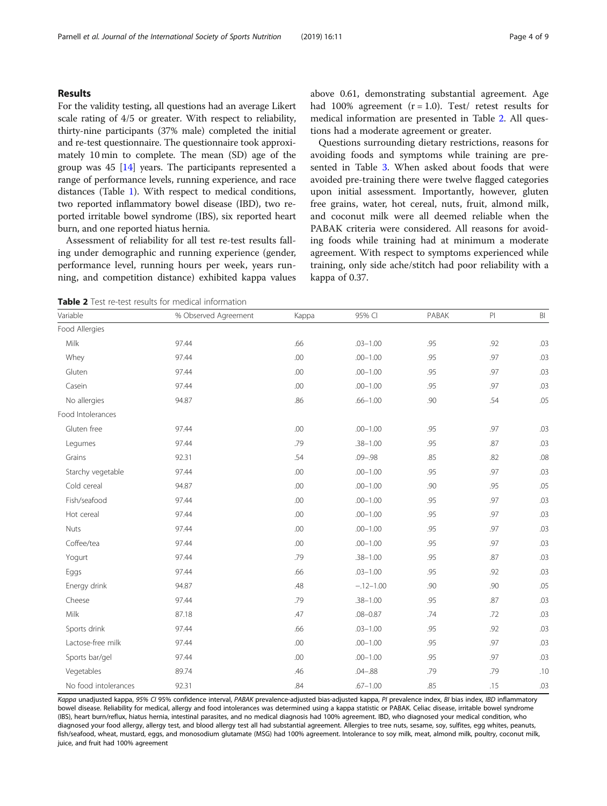### Results

For the validity testing, all questions had an average Likert scale rating of 4/5 or greater. With respect to reliability, thirty-nine participants (37% male) completed the initial and re-test questionnaire. The questionnaire took approximately 10 min to complete. The mean (SD) age of the group was 45 [\[14](#page-8-0)] years. The participants represented a range of performance levels, running experience, and race distances (Table [1](#page-2-0)). With respect to medical conditions, two reported inflammatory bowel disease (IBD), two reported irritable bowel syndrome (IBS), six reported heart burn, and one reported hiatus hernia.

Assessment of reliability for all test re-test results falling under demographic and running experience (gender, performance level, running hours per week, years running, and competition distance) exhibited kappa values above 0.61, demonstrating substantial agreement. Age had 100% agreement  $(r = 1.0)$ . Test/ retest results for medical information are presented in Table 2. All questions had a moderate agreement or greater.

Questions surrounding dietary restrictions, reasons for avoiding foods and symptoms while training are presented in Table [3](#page-4-0). When asked about foods that were avoided pre-training there were twelve flagged categories upon initial assessment. Importantly, however, gluten free grains, water, hot cereal, nuts, fruit, almond milk, and coconut milk were all deemed reliable when the PABAK criteria were considered. All reasons for avoiding foods while training had at minimum a moderate agreement. With respect to symptoms experienced while training, only side ache/stitch had poor reliability with a kappa of 0.37.

Table 2 Test re-test results for medical information

| Variable             | % Observed Agreement | Kappa | 95% CI        | PABAK | $\mathsf{Pl}$ | $\mathsf{B}\mathsf{I}$ |
|----------------------|----------------------|-------|---------------|-------|---------------|------------------------|
| Food Allergies       |                      |       |               |       |               |                        |
| Milk                 | 97.44                | .66   | $.03 - 1.00$  | .95   | .92           | .03                    |
| Whey                 | 97.44                | .00   | $.00 - 1.00$  | .95   | .97           | .03                    |
| Gluten               | 97.44                | .00   | $.00 - 1.00$  | .95   | .97           | .03                    |
| Casein               | 97.44                | .00   | $.00 - 1.00$  | .95   | .97           | .03                    |
| No allergies         | 94.87                | .86   | $.66 - 1.00$  | .90   | .54           | .05                    |
| Food Intolerances    |                      |       |               |       |               |                        |
| Gluten free          | 97.44                | .00   | $.00 - 1.00$  | .95   | .97           | .03                    |
| Legumes              | 97.44                | .79   | $.38 - 1.00$  | .95   | .87           | .03                    |
| Grains               | 92.31                | .54   | $.09 - .98$   | .85   | .82           | .08                    |
| Starchy vegetable    | 97.44                | .00   | $.00 - 1.00$  | .95   | .97           | .03                    |
| Cold cereal          | 94.87                | .00   | $.00 - 1.00$  | .90   | .95           | .05                    |
| Fish/seafood         | 97.44                | .00   | $.00 - 1.00$  | .95   | .97           | .03                    |
| Hot cereal           | 97.44                | .00   | $.00 - 1.00$  | .95   | .97           | .03                    |
| <b>Nuts</b>          | 97.44                | .00   | $.00 - 1.00$  | .95   | .97           | .03                    |
| Coffee/tea           | 97.44                | .00   | $.00 - 1.00$  | .95   | .97           | .03                    |
| Yogurt               | 97.44                | .79   | $.38 - 1.00$  | .95   | .87           | .03                    |
| Eggs                 | 97.44                | .66   | $.03 - 1.00$  | .95   | .92           | .03                    |
| Energy drink         | 94.87                | .48   | $-.12 - 1.00$ | .90   | .90           | .05                    |
| Cheese               | 97.44                | .79   | $.38 - 1.00$  | .95   | .87           | .03                    |
| Milk                 | 87.18                | .47   | $.08 - 0.87$  | .74   | .72           | .03                    |
| Sports drink         | 97.44                | .66   | $.03 - 1.00$  | .95   | .92           | .03                    |
| Lactose-free milk    | 97.44                | .00   | $.00 - 1.00$  | .95   | .97           | .03                    |
| Sports bar/gel       | 97.44                | .00   | $.00 - 1.00$  | .95   | .97           | .03                    |
| Vegetables           | 89.74                | .46   | $.04 - .88$   | .79   | .79           | .10                    |
| No food intolerances | 92.31                | .84   | $.67 - 1.00$  | .85   | .15           | .03                    |

Kappa unadjusted kappa, 95% CI 95% confidence interval, PABAK prevalence-adjusted bias-adjusted kappa, PI prevalence index, BI bias index, IBD inflammatory bowel disease. Reliability for medical, allergy and food intolerances was determined using a kappa statistic or PABAK. Celiac disease, irritable bowel syndrome (IBS), heart burn/reflux, hiatus hernia, intestinal parasites, and no medical diagnosis had 100% agreement. IBD, who diagnosed your medical condition, who diagnosed your food allergy, allergy test, and blood allergy test all had substantial agreement. Allergies to tree nuts, sesame, soy, sulfites, egg whites, peanuts, fish/seafood, wheat, mustard, eggs, and monosodium glutamate (MSG) had 100% agreement. Intolerance to soy milk, meat, almond milk, poultry, coconut milk, juice, and fruit had 100% agreement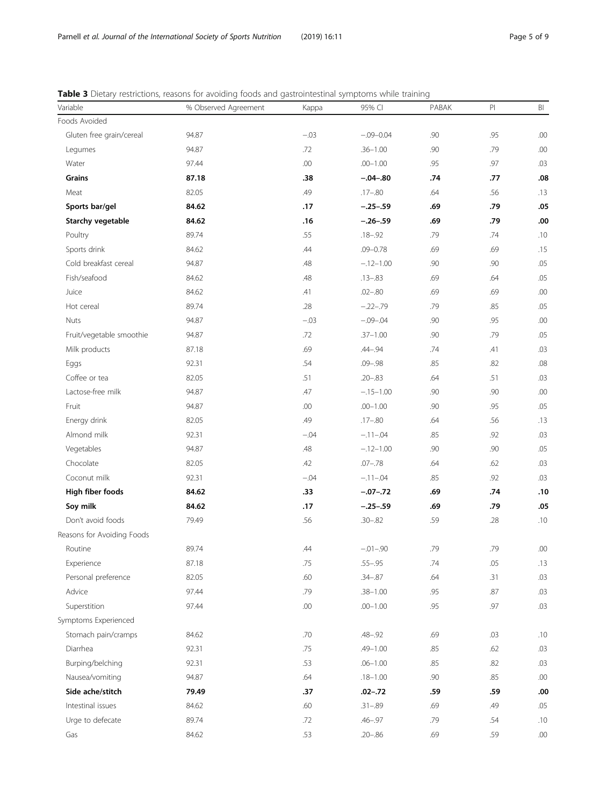| Variable                   | % Observed Agreement | Kappa   | 95% CI        | PABAK | $\mathsf{Pl}$ | B <sub>l</sub> |
|----------------------------|----------------------|---------|---------------|-------|---------------|----------------|
| Foods Avoided              |                      |         |               |       |               |                |
| Gluten free grain/cereal   | 94.87                | $-.03$  | $-.09 - 0.04$ | .90   | .95           | .00            |
| Legumes                    | 94.87                | .72     | $.36 - 1.00$  | .90   | .79           | .00            |
| Water                      | 97.44                | .00     | $.00 - 1.00$  | .95   | .97           | .03            |
| <b>Grains</b>              | 87.18                | .38     | $-.04-.80$    | .74   | .77           | .08            |
| Meat                       | 82.05                | .49     | $.17 - .80$   | .64   | .56           | .13            |
| Sports bar/gel             | 84.62                | .17     | $-.25-.59$    | .69   | .79           | .05            |
| Starchy vegetable          | 84.62                | .16     | $-.26-.59$    | .69   | .79           | $.00$          |
| Poultry                    | 89.74                | .55     | $.18 - .92$   | .79   | .74           | .10            |
| Sports drink               | 84.62                | .44     | $.09 - 0.78$  | .69   | .69           | .15            |
| Cold breakfast cereal      | 94.87                | .48     | $-.12 - 1.00$ | .90   | .90           | .05            |
| Fish/seafood               | 84.62                | .48     | $.13 - .83$   | .69   | .64           | .05            |
| Juice                      | 84.62                | .41     | $.02 - .80$   | .69   | .69           | .00            |
| Hot cereal                 | 89.74                | .28     | $-.22-.79$    | .79   | .85           | .05            |
| Nuts                       | 94.87                | $-.03$  | $-.09-.04$    | .90   | .95           | .00            |
| Fruit/vegetable smoothie   | 94.87                | .72     | $.37 - 1.00$  | .90   | .79           | .05            |
| Milk products              | 87.18                | .69     | $.44 - .94$   | .74   | .41           | .03            |
| Eggs                       | 92.31                | .54     | $.09 - .98$   | .85   | .82           | .08            |
| Coffee or tea              | 82.05                | .51     | $.20 - .83$   | .64   | .51           | .03            |
| Lactose-free milk          | 94.87                | .47     | $-.15 - 1.00$ | .90   | .90           | .00            |
| Fruit                      | 94.87                | $.00\,$ | $.00 - 1.00$  | .90   | .95           | .05            |
| Energy drink               | 82.05                | .49     | $.17 - .80$   | .64   | .56           | .13            |
| Almond milk                | 92.31                | $-04$   | $-.11-.04$    | .85   | .92           | .03            |
| Vegetables                 | 94.87                | .48     | $-.12 - 1.00$ | .90   | .90           | .05            |
| Chocolate                  | 82.05                | .42     | $.07 - .78$   | .64   | .62           | .03            |
| Coconut milk               | 92.31                | $-04$   | $-.11-.04$    | .85   | .92           | .03            |
| High fiber foods           | 84.62                | .33     | $-.07-.72$    | .69   | .74           | .10            |
| Soy milk                   | 84.62                | .17     | $-.25-.59$    | .69   | .79           | .05            |
| Don't avoid foods          | 79.49                | .56     | $.30 - .82$   | .59   | .28           | .10            |
| Reasons for Avoiding Foods |                      |         |               |       |               |                |
| Routine                    | 89.74                | .44     | $-.01-.90$    | .79   | .79           | .00            |
| Experience                 | 87.18                | .75     | $.55 - .95$   | .74   | .05           | .13            |
| Personal preference        | 82.05                | .60     | $.34 - .87$   | .64   | .31           | .03            |
| Advice                     | 97.44                | .79     | $.38 - 1.00$  | .95   | .87           | .03            |
| Superstition               | 97.44                | $.00\,$ | $.00 - 1.00$  | .95   | .97           | .03            |
| Symptoms Experienced       |                      |         |               |       |               |                |
| Stomach pain/cramps        | 84.62                | .70     | $.48 - .92$   | .69   | .03           | .10            |
| Diarrhea                   | 92.31                | .75     | $.49 - 1.00$  | .85   | .62           | .03            |
| Burping/belching           | 92.31                | .53     | $.06 - 1.00$  | .85   | .82           | .03            |
| Nausea/vomiting            | 94.87                | .64     | $.18 - 1.00$  | .90   | .85           | .00            |
| Side ache/stitch           | 79.49                | .37     | $.02 - .72$   | .59   | .59           | .00            |
| Intestinal issues          | 84.62                | .60     | $.31 - .89$   | .69   | .49           | .05            |
| Urge to defecate           | 89.74                | .72     | $.46 - .97$   | .79   | .54           | .10            |
| Gas                        | 84.62                | .53     | $.20 - .86$   | .69   | .59           | $.00\,$        |

<span id="page-4-0"></span>Table 3 Dietary restrictions, reasons for avoiding foods and gastrointestinal symptoms while training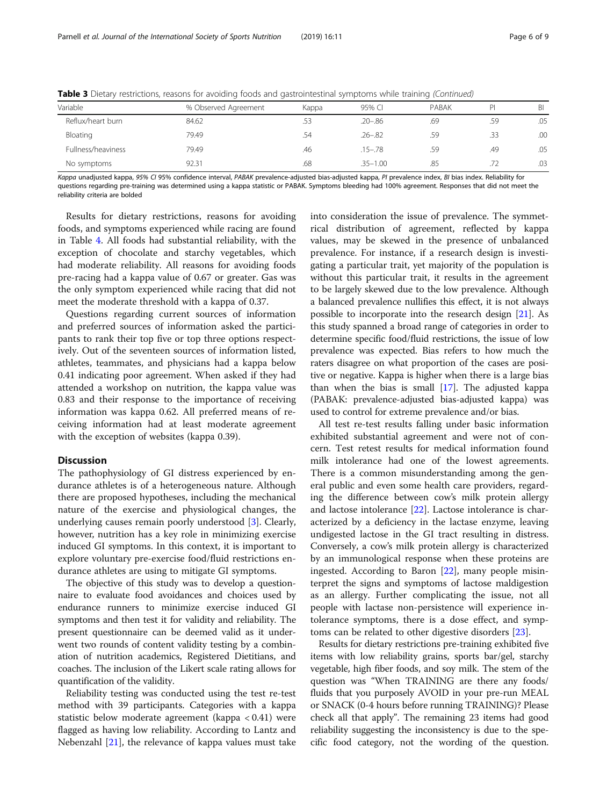| Variable           | % Observed Agreement | Kappa | 95% CI       | PABAK | DI  | B1  |
|--------------------|----------------------|-------|--------------|-------|-----|-----|
| Reflux/heart burn  | 84.62                | .53   | $.20 - .86$  | .69   | .59 | .05 |
| Bloating           | 79.49                | .54   | $.26 - .82$  | .59   | .33 | .00 |
| Fullness/heaviness | 79.49                | .46   | $.15 - .78$  | .59   | .49 | .05 |
| No symptoms        | 92.31                | .68   | $.35 - 1.00$ | .85   |     | .03 |

Table 3 Dietary restrictions, reasons for avoiding foods and gastrointestinal symptoms while training (Continued)

Kappa unadjusted kappa, 95% CI 95% confidence interval, PABAK prevalence-adjusted bias-adjusted kappa, PI prevalence index, BI bias index. Reliability for questions regarding pre-training was determined using a kappa statistic or PABAK. Symptoms bleeding had 100% agreement. Responses that did not meet the reliability criteria are bolded

Results for dietary restrictions, reasons for avoiding foods, and symptoms experienced while racing are found in Table [4](#page-6-0). All foods had substantial reliability, with the exception of chocolate and starchy vegetables, which had moderate reliability. All reasons for avoiding foods pre-racing had a kappa value of 0.67 or greater. Gas was the only symptom experienced while racing that did not meet the moderate threshold with a kappa of 0.37.

Questions regarding current sources of information and preferred sources of information asked the participants to rank their top five or top three options respectively. Out of the seventeen sources of information listed, athletes, teammates, and physicians had a kappa below 0.41 indicating poor agreement. When asked if they had attended a workshop on nutrition, the kappa value was 0.83 and their response to the importance of receiving information was kappa 0.62. All preferred means of receiving information had at least moderate agreement with the exception of websites (kappa 0.39).

## Discussion

The pathophysiology of GI distress experienced by endurance athletes is of a heterogeneous nature. Although there are proposed hypotheses, including the mechanical nature of the exercise and physiological changes, the underlying causes remain poorly understood [\[3](#page-8-0)]. Clearly, however, nutrition has a key role in minimizing exercise induced GI symptoms. In this context, it is important to explore voluntary pre-exercise food/fluid restrictions endurance athletes are using to mitigate GI symptoms.

The objective of this study was to develop a questionnaire to evaluate food avoidances and choices used by endurance runners to minimize exercise induced GI symptoms and then test it for validity and reliability. The present questionnaire can be deemed valid as it underwent two rounds of content validity testing by a combination of nutrition academics, Registered Dietitians, and coaches. The inclusion of the Likert scale rating allows for quantification of the validity.

Reliability testing was conducted using the test re-test method with 39 participants. Categories with a kappa statistic below moderate agreement (kappa < 0.41) were flagged as having low reliability. According to Lantz and Nebenzahl [[21](#page-8-0)], the relevance of kappa values must take into consideration the issue of prevalence. The symmetrical distribution of agreement, reflected by kappa values, may be skewed in the presence of unbalanced prevalence. For instance, if a research design is investigating a particular trait, yet majority of the population is without this particular trait, it results in the agreement to be largely skewed due to the low prevalence. Although a balanced prevalence nullifies this effect, it is not always possible to incorporate into the research design [\[21\]](#page-8-0). As this study spanned a broad range of categories in order to determine specific food/fluid restrictions, the issue of low prevalence was expected. Bias refers to how much the raters disagree on what proportion of the cases are positive or negative. Kappa is higher when there is a large bias than when the bias is small [[17](#page-8-0)]. The adjusted kappa (PABAK: prevalence-adjusted bias-adjusted kappa) was used to control for extreme prevalence and/or bias.

All test re-test results falling under basic information exhibited substantial agreement and were not of concern. Test retest results for medical information found milk intolerance had one of the lowest agreements. There is a common misunderstanding among the general public and even some health care providers, regarding the difference between cow's milk protein allergy and lactose intolerance [\[22](#page-8-0)]. Lactose intolerance is characterized by a deficiency in the lactase enzyme, leaving undigested lactose in the GI tract resulting in distress. Conversely, a cow's milk protein allergy is characterized by an immunological response when these proteins are ingested. According to Baron [[22](#page-8-0)], many people misinterpret the signs and symptoms of lactose maldigestion as an allergy. Further complicating the issue, not all people with lactase non-persistence will experience intolerance symptoms, there is a dose effect, and symptoms can be related to other digestive disorders [[23\]](#page-8-0).

Results for dietary restrictions pre-training exhibited five items with low reliability grains, sports bar/gel, starchy vegetable, high fiber foods, and soy milk. The stem of the question was "When TRAINING are there any foods/ fluids that you purposely AVOID in your pre-run MEAL or SNACK (0-4 hours before running TRAINING)? Please check all that apply". The remaining 23 items had good reliability suggesting the inconsistency is due to the specific food category, not the wording of the question.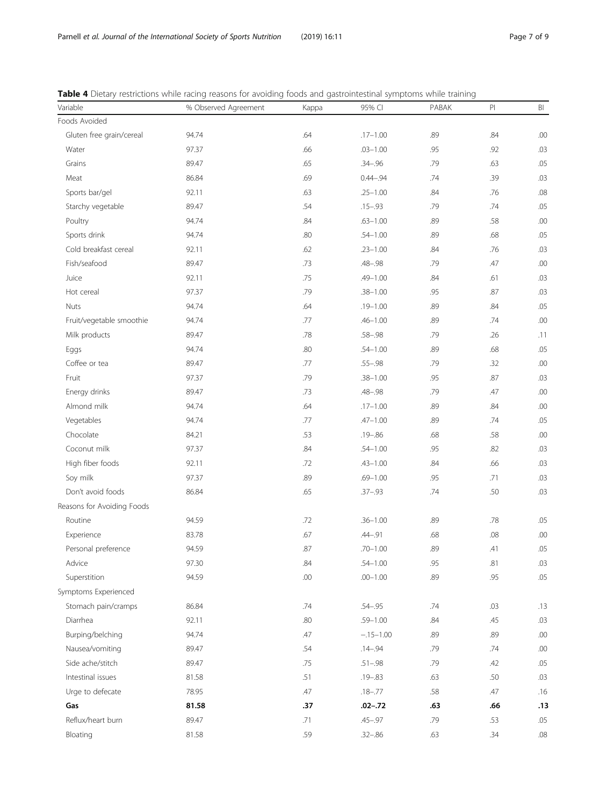<span id="page-6-0"></span>

|  |  |  | <b>Table 4</b> Dietary restrictions while racing reasons for avoiding foods and gastrointestinal symptoms while training |  |
|--|--|--|--------------------------------------------------------------------------------------------------------------------------|--|
|  |  |  |                                                                                                                          |  |

| Variable                   | % Observed Agreement | Kappa | 95% CI        | PABAK | $\mathsf{Pl}$ | BI      |
|----------------------------|----------------------|-------|---------------|-------|---------------|---------|
| Foods Avoided              |                      |       |               |       |               |         |
| Gluten free grain/cereal   | 94.74                | .64   | $.17 - 1.00$  | .89   | .84           | .00     |
| Water                      | 97.37                | .66   | $.03 - 1.00$  | .95   | .92           | .03     |
| Grains                     | 89.47                | .65   | $.34 - .96$   | .79   | .63           | .05     |
| Meat                       | 86.84                | .69   | $0.44 - 0.94$ | .74   | .39           | .03     |
| Sports bar/gel             | 92.11                | .63   | $.25 - 1.00$  | .84   | .76           | .08     |
| Starchy vegetable          | 89.47                | .54   | $.15 - .93$   | .79   | .74           | .05     |
| Poultry                    | 94.74                | .84   | $.63 - 1.00$  | .89   | .58           | .00     |
| Sports drink               | 94.74                | .80   | $.54 - 1.00$  | .89   | .68           | .05     |
| Cold breakfast cereal      | 92.11                | .62   | $.23 - 1.00$  | .84   | .76           | .03     |
| Fish/seafood               | 89.47                | .73   | .48-.98       | .79   | .47           | .00     |
| Juice                      | 92.11                | .75   | .49-1.00      | .84   | .61           | .03     |
| Hot cereal                 | 97.37                | .79   | $.38 - 1.00$  | .95   | .87           | .03     |
| Nuts                       | 94.74                | .64   | $.19 - 1.00$  | .89   | .84           | .05     |
| Fruit/vegetable smoothie   | 94.74                | .77   | $.46 - 1.00$  | .89   | .74           | .00     |
| Milk products              | 89.47                | .78   | $.58 - .98$   | .79   | .26           | .11     |
| Eggs                       | 94.74                | .80   | $.54 - 1.00$  | .89   | .68           | .05     |
| Coffee or tea              | 89.47                | .77   | $.55 - .98$   | .79   | .32           | .00     |
| Fruit                      | 97.37                | .79   | $.38 - 1.00$  | .95   | .87           | .03     |
| Energy drinks              | 89.47                | .73   | $.48 - .98$   | .79   | .47           | .00     |
| Almond milk                | 94.74                | .64   | $.17 - 1.00$  | .89   | .84           | .00     |
| Vegetables                 | 94.74                | .77   | $.47 - 1.00$  | .89   | .74           | .05     |
| Chocolate                  | 84.21                | .53   | $.19 - .86$   | .68   | .58           | .00     |
| Coconut milk               | 97.37                | .84   | $.54 - 1.00$  | .95   | .82           | .03     |
| High fiber foods           | 92.11                | .72   | $.43 - 1.00$  | .84   | .66           | .03     |
| Soy milk                   | 97.37                | .89   | $.69 - 1.00$  | .95   | .71           | .03     |
| Don't avoid foods          | 86.84                | .65   | $.37 - .93$   | .74   | .50           | .03     |
| Reasons for Avoiding Foods |                      |       |               |       |               |         |
| Routine                    | 94.59                | .72   | $.36 - 1.00$  | .89   | .78           | .05     |
| Experience                 | 83.78                | .67   | $.44 - .91$   | .68   | .08           | .00     |
| Personal preference        | 94.59                | .87   | $.70 - 1.00$  | .89   | .41           | .05     |
| Advice                     | 97.30                | .84   | $.54 - 1.00$  | .95   | .81           | .03     |
| Superstition               | 94.59                | .00   | $.00 - 1.00$  | .89   | .95           | .05     |
| Symptoms Experienced       |                      |       |               |       |               |         |
| Stomach pain/cramps        | 86.84                | .74   | $.54 - .95$   | .74   | .03           | .13     |
| Diarrhea                   | 92.11                | .80   | $.59 - 1.00$  | .84   | .45           | .03     |
| Burping/belching           | 94.74                | .47   | $-.15 - 1.00$ | .89   | .89           | .00     |
| Nausea/vomiting            | 89.47                | .54   | $.14 - .94$   | .79   | .74           | .00     |
| Side ache/stitch           | 89.47                | .75   | $.51 - .98$   | .79   | .42           | .05     |
| Intestinal issues          | 81.58                | .51   | $.19 - .83$   | .63   | .50           | .03     |
| Urge to defecate           | 78.95                | .47   | $.18 - .77$   | .58   | .47           | .16     |
| Gas                        | 81.58                | .37   | $.02 - .72$   | .63   | .66           | .13     |
| Reflux/heart burn          | 89.47                | .71   | $.45 - .97$   | .79   | .53           | .05     |
| Bloating                   | 81.58                | .59   | $.32 - .86$   | .63   | .34           | $.08\,$ |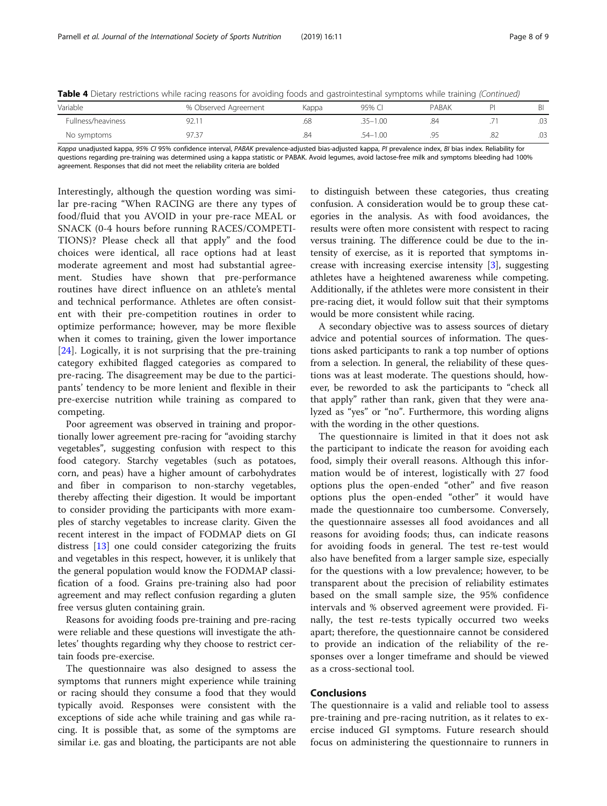|  |  |  | Table 4 Dietary restrictions while racing reasons for avoiding foods and gastrointestinal symptoms while training (Continued) |  |  |
|--|--|--|-------------------------------------------------------------------------------------------------------------------------------|--|--|
|  |  |  |                                                                                                                               |  |  |

| Variable           | % Observed Agreement | Kappa | 95% CI       | PABAK | DI  | ΒI  |
|--------------------|----------------------|-------|--------------|-------|-----|-----|
| Fullness/heaviness | 92.1                 | .68   | 35–1.00      | .84   |     | .03 |
| No symptoms        | 97.37                | .84   | $.54 - 1.00$ | Q5    | .82 | .03 |

Kappa unadjusted kappa, 95% CI 95% confidence interval, PABAK prevalence-adjusted bias-adjusted kappa, PI prevalence index, BI bias index. Reliability for questions regarding pre-training was determined using a kappa statistic or PABAK. Avoid legumes, avoid lactose-free milk and symptoms bleeding had 100% agreement. Responses that did not meet the reliability criteria are bolded

Interestingly, although the question wording was similar pre-racing "When RACING are there any types of food/fluid that you AVOID in your pre-race MEAL or SNACK (0-4 hours before running RACES/COMPETI-TIONS)? Please check all that apply" and the food choices were identical, all race options had at least moderate agreement and most had substantial agreement. Studies have shown that pre-performance routines have direct influence on an athlete's mental and technical performance. Athletes are often consistent with their pre-competition routines in order to optimize performance; however, may be more flexible when it comes to training, given the lower importance [[24\]](#page-8-0). Logically, it is not surprising that the pre-training category exhibited flagged categories as compared to pre-racing. The disagreement may be due to the participants' tendency to be more lenient and flexible in their pre-exercise nutrition while training as compared to competing.

Poor agreement was observed in training and proportionally lower agreement pre-racing for "avoiding starchy vegetables", suggesting confusion with respect to this food category. Starchy vegetables (such as potatoes, corn, and peas) have a higher amount of carbohydrates and fiber in comparison to non-starchy vegetables, thereby affecting their digestion. It would be important to consider providing the participants with more examples of starchy vegetables to increase clarity. Given the recent interest in the impact of FODMAP diets on GI distress [[13\]](#page-8-0) one could consider categorizing the fruits and vegetables in this respect, however, it is unlikely that the general population would know the FODMAP classification of a food. Grains pre-training also had poor agreement and may reflect confusion regarding a gluten free versus gluten containing grain.

Reasons for avoiding foods pre-training and pre-racing were reliable and these questions will investigate the athletes' thoughts regarding why they choose to restrict certain foods pre-exercise.

The questionnaire was also designed to assess the symptoms that runners might experience while training or racing should they consume a food that they would typically avoid. Responses were consistent with the exceptions of side ache while training and gas while racing. It is possible that, as some of the symptoms are similar i.e. gas and bloating, the participants are not able

to distinguish between these categories, thus creating confusion. A consideration would be to group these categories in the analysis. As with food avoidances, the results were often more consistent with respect to racing versus training. The difference could be due to the intensity of exercise, as it is reported that symptoms increase with increasing exercise intensity [\[3](#page-8-0)], suggesting athletes have a heightened awareness while competing. Additionally, if the athletes were more consistent in their pre-racing diet, it would follow suit that their symptoms would be more consistent while racing.

A secondary objective was to assess sources of dietary advice and potential sources of information. The questions asked participants to rank a top number of options from a selection. In general, the reliability of these questions was at least moderate. The questions should, however, be reworded to ask the participants to "check all that apply" rather than rank, given that they were analyzed as "yes" or "no". Furthermore, this wording aligns with the wording in the other questions.

The questionnaire is limited in that it does not ask the participant to indicate the reason for avoiding each food, simply their overall reasons. Although this information would be of interest, logistically with 27 food options plus the open-ended "other" and five reason options plus the open-ended "other" it would have made the questionnaire too cumbersome. Conversely, the questionnaire assesses all food avoidances and all reasons for avoiding foods; thus, can indicate reasons for avoiding foods in general. The test re-test would also have benefited from a larger sample size, especially for the questions with a low prevalence; however, to be transparent about the precision of reliability estimates based on the small sample size, the 95% confidence intervals and % observed agreement were provided. Finally, the test re-tests typically occurred two weeks apart; therefore, the questionnaire cannot be considered to provide an indication of the reliability of the responses over a longer timeframe and should be viewed as a cross-sectional tool.

## Conclusions

The questionnaire is a valid and reliable tool to assess pre-training and pre-racing nutrition, as it relates to exercise induced GI symptoms. Future research should focus on administering the questionnaire to runners in